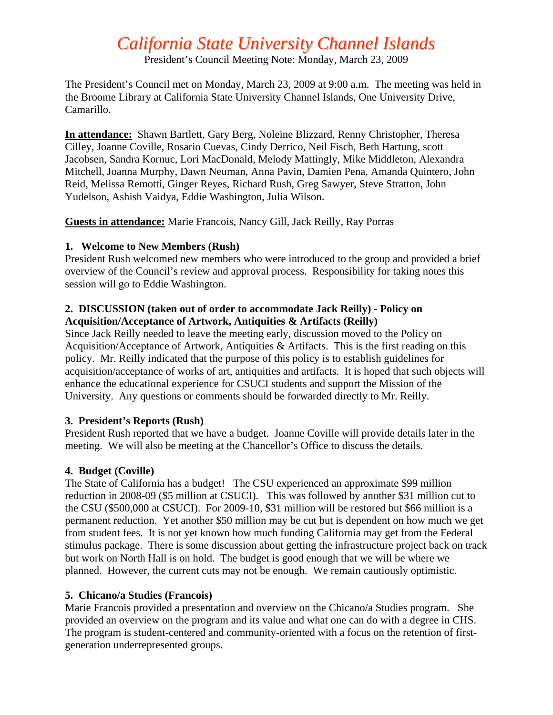# *California State University Channel Islands*

President's Council Meeting Note: Monday, March 23, 2009

The President's Council met on Monday, March 23, 2009 at 9:00 a.m. The meeting was held in the Broome Library at California State University Channel Islands, One University Drive, Camarillo.

**In attendance:** Shawn Bartlett, Gary Berg, Noleine Blizzard, Renny Christopher, Theresa Cilley, Joanne Coville, Rosario Cuevas, Cindy Derrico, Neil Fisch, Beth Hartung, scott Jacobsen, Sandra Kornuc, Lori MacDonald, Melody Mattingly, Mike Middleton, Alexandra Mitchell, Joanna Murphy, Dawn Neuman, Anna Pavin, Damien Pena, Amanda Quintero, John Reid, Melissa Remotti, Ginger Reyes, Richard Rush, Greg Sawyer, Steve Stratton, John Yudelson, Ashish Vaidya, Eddie Washington, Julia Wilson.

**Guests in attendance:** Marie Francois, Nancy Gill, Jack Reilly, Ray Porras

## **1. Welcome to New Members (Rush)**

President Rush welcomed new members who were introduced to the group and provided a brief overview of the Council's review and approval process. Responsibility for taking notes this session will go to Eddie Washington.

# **2. DISCUSSION (taken out of order to accommodate Jack Reilly) - Policy on Acquisition/Acceptance of Artwork, Antiquities & Artifacts (Reilly)**

Since Jack Reilly needed to leave the meeting early, discussion moved to the Policy on Acquisition/Acceptance of Artwork, Antiquities & Artifacts. This is the first reading on this policy. Mr. Reilly indicated that the purpose of this policy is to establish guidelines for acquisition/acceptance of works of art, antiquities and artifacts. It is hoped that such objects will enhance the educational experience for CSUCI students and support the Mission of the University. Any questions or comments should be forwarded directly to Mr. Reilly.

# **3. President's Reports (Rush)**

President Rush reported that we have a budget. Joanne Coville will provide details later in the meeting. We will also be meeting at the Chancellor's Office to discuss the details.

#### **4. Budget (Coville)**

The State of California has a budget! The CSU experienced an approximate \$99 million reduction in 2008-09 (\$5 million at CSUCI). This was followed by another \$31 million cut to the CSU (\$500,000 at CSUCI). For 2009-10, \$31 million will be restored but \$66 million is a permanent reduction. Yet another \$50 million may be cut but is dependent on how much we get from student fees. It is not yet known how much funding California may get from the Federal stimulus package. There is some discussion about getting the infrastructure project back on track but work on North Hall is on hold. The budget is good enough that we will be where we planned. However, the current cuts may not be enough. We remain cautiously optimistic.

#### **5. Chicano/a Studies (Francois)**

Marie Francois provided a presentation and overview on the Chicano/a Studies program. She provided an overview on the program and its value and what one can do with a degree in CHS. The program is student-centered and community-oriented with a focus on the retention of firstgeneration underrepresented groups.